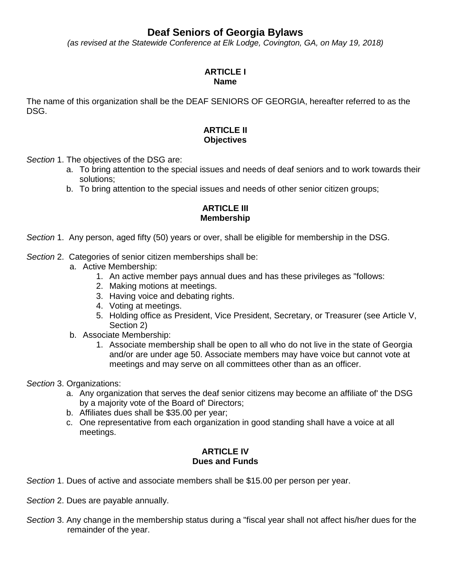# **Deaf Seniors of Georgia Bylaws**

*(as revised at the Statewide Conference at Elk Lodge, Covington, GA, on May 19, 2018)*

#### **ARTICLE I Name**

The name of this organization shall be the DEAF SENIORS OF GEORGIA, hereafter referred to as the DSG.

### **ARTICLE II Objectives**

*Section* 1. The objectives of the DSG are:

- a. To bring attention to the special issues and needs of deaf seniors and to work towards their solutions;
- b. To bring attention to the special issues and needs of other senior citizen groups;

### **ARTICLE III Membership**

*Section* 1. Any person, aged fifty (50) years or over, shall be eligible for membership in the DSG.

#### *Section* 2. Categories of senior citizen memberships shall be:

- a. Active Membership:
	- 1. An active member pays annual dues and has these privileges as "follows:
	- 2. Making motions at meetings.
	- 3. Having voice and debating rights.
	- 4. Voting at meetings.
	- 5. Holding office as President, Vice President, Secretary, or Treasurer (see Article V, Section 2)
- b. Associate Membership:
	- 1. Associate membership shall be open to all who do not live in the state of Georgia and/or are under age 50. Associate members may have voice but cannot vote at meetings and may serve on all committees other than as an officer.

#### *Section* 3. Organizations:

- a. Any organization that serves the deaf senior citizens may become an affiliate of' the DSG by a majority vote of the Board of' Directors;
- b. Affiliates dues shall be \$35.00 per year;
- c. One representative from each organization in good standing shall have a voice at all meetings.

#### **ARTICLE IV Dues and Funds**

- *Section* 1. Dues of active and associate members shall be \$15.00 per person per year.
- *Section* 2. Dues are payable annually.
- *Section* 3. Any change in the membership status during a "fiscal year shall not affect his/her dues for the remainder of the year.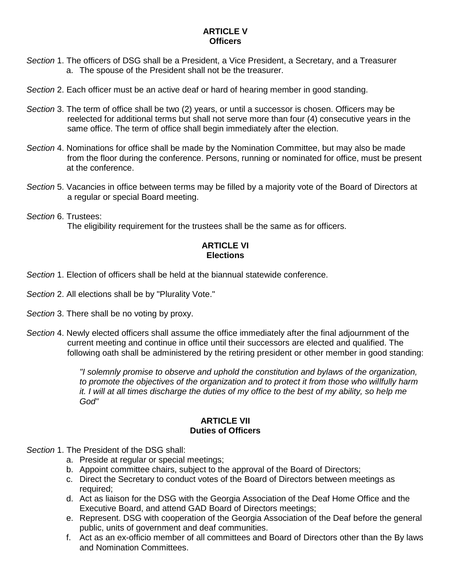## **ARTICLE V Officers**

- *Section* 1. The officers of DSG shall be a President, a Vice President, a Secretary, and a Treasurer a. The spouse of the President shall not be the treasurer.
- *Section* 2. Each officer must be an active deaf or hard of hearing member in good standing.
- *Section* 3. The term of office shall be two (2) years, or until a successor is chosen. Officers may be reelected for additional terms but shall not serve more than four (4) consecutive years in the same office. The term of office shall begin immediately after the election.
- *Section* 4. Nominations for office shall be made by the Nomination Committee, but may also be made from the floor during the conference. Persons, running or nominated for office, must be present at the conference.
- *Section* 5. Vacancies in office between terms may be filled by a majority vote of the Board of Directors at a regular or special Board meeting.

*Section* 6. Trustees:

The eligibility requirement for the trustees shall be the same as for officers.

## **ARTICLE VI Elections**

- *Section* 1. Election of officers shall be held at the biannual statewide conference.
- *Section* 2. All elections shall be by "Plurality Vote."
- *Section* 3. There shall be no voting by proxy.
- *Section* 4. Newly elected officers shall assume the office immediately after the final adjournment of the current meeting and continue in office until their successors are elected and qualified. The following oath shall be administered by the retiring president or other member in good standing:

*"I solemnly promise to observe and uphold the constitution and bylaws of the organization, to promote the objectives of the organization and to protect it from those who willfully harm it. I will at all times discharge the duties of my office to the best of my ability, so help me God"* 

#### **ARTICLE VII Duties of Officers**

- *Section* 1. The President of the DSG shall:
	- a. Preside at regular or special meetings;
	- b. Appoint committee chairs, subject to the approval of the Board of Directors;
	- c. Direct the Secretary to conduct votes of the Board of Directors between meetings as required;
	- d. Act as liaison for the DSG with the Georgia Association of the Deaf Home Office and the Executive Board, and attend GAD Board of Directors meetings;
	- e. Represent. DSG with cooperation of the Georgia Association of the Deaf before the general public, units of government and deaf communities.
	- f. Act as an ex-officio member of all committees and Board of Directors other than the By laws and Nomination Committees.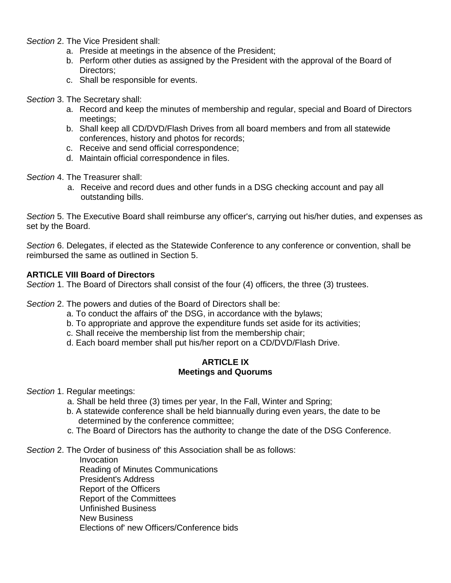*Section* 2. The Vice President shall:

- a. Preside at meetings in the absence of the President;
- b. Perform other duties as assigned by the President with the approval of the Board of Directors:
- c. Shall be responsible for events.

#### *Section* 3. The Secretary shall:

- a. Record and keep the minutes of membership and regular, special and Board of Directors meetings;
- b. Shall keep all CD/DVD/Flash Drives from all board members and from all statewide conferences, history and photos for records;
- c. Receive and send official correspondence;
- d. Maintain official correspondence in files.

*Section* 4. The Treasurer shall:

a. Receive and record dues and other funds in a DSG checking account and pay all outstanding bills.

*Section* 5. The Executive Board shall reimburse any officer's, carrying out his/her duties, and expenses as set by the Board.

*Section* 6. Delegates, if elected as the Statewide Conference to any conference or convention, shall be reimbursed the same as outlined in Section 5.

#### **ARTICLE VIII Board of Directors**

*Section* 1. The Board of Directors shall consist of the four (4) officers, the three (3) trustees.

*Section* 2. The powers and duties of the Board of Directors shall be:

- a. To conduct the affairs of' the DSG, in accordance with the bylaws;
- b. To appropriate and approve the expenditure funds set aside for its activities;
- c. Shall receive the membership list from the membership chair;
- d. Each board member shall put his/her report on a CD/DVD/Flash Drive.

#### **ARTICLE IX Meetings and Quorums**

*Section* 1. Regular meetings:

- a. Shall be held three (3) times per year, In the Fall, Winter and Spring;
- b. A statewide conference shall be held biannually during even years, the date to be determined by the conference committee;
- c. The Board of Directors has the authority to change the date of the DSG Conference.

*Section* 2. The Order of business of' this Association shall be as follows:

Invocation Reading of Minutes Communications President's Address Report of the Officers Report of the Committees Unfinished Business New Business Elections of' new Officers/Conference bids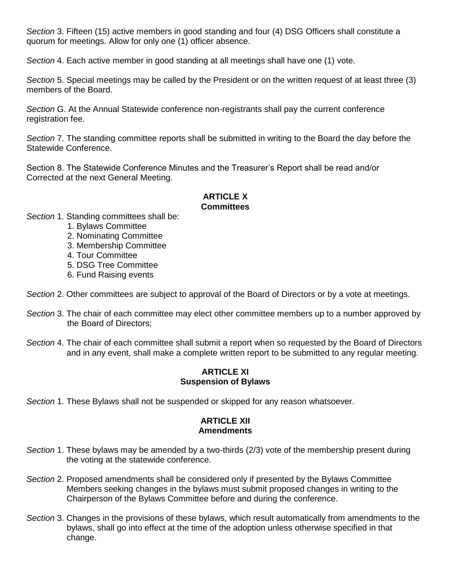*Section* 3. Fifteen (15) active members in good standing and four (4) DSG Officers shall constitute a quorum for meetings. Allow for only one (1) officer absence.

*Section* 4. Each active member in good standing at all meetings shall have one (1) vote.

*Section* 5. Special meetings may be called by the President or on the written request of at least three (3) members of the Board.

*Section* G. At the Annual Statewide conference non-registrants shall pay the current conference registration fee.

*Section* 7. The standing committee reports shall be submitted in writing to the Board the day before the Statewide Conference.

Section 8. The Statewide Conference Minutes and the Treasurer's Report shall be read and/or Corrected at the next General Meeting.

#### **ARTICLE X Committees**

*Section* 1. Standing committees shall be:

- 1. Bylaws Committee
- 2. Nominating Committee
- 3. Membership Committee
- 4. Tour Committee
- 5. DSG Tree Committee
- 6. Fund Raising events

*Section* 2. Other committees are subject to approval of the Board of Directors or by a vote at meetings.

- *Section* 3. The chair of each committee may elect other committee members up to a number approved by the Board of Directors;
- *Section* 4. The chair of each committee shall submit a report when so requested by the Board of Directors and in any event, shall make a complete written report to be submitted to any regular meeting.

#### **ARTICLE XI Suspension of Bylaws**

*Section* 1. These Bylaws shall not be suspended or skipped for any reason whatsoever.

#### **ARTICLE XII Amendments**

- *Section* 1. These bylaws may be amended by a two-thirds (2/3) vote of the membership present during the voting at the statewide conference.
- *Section* 2. Proposed amendments shall be considered only if presented by the Bylaws Committee Members seeking changes in the bylaws must submit proposed changes in writing to the Chairperson of the Bylaws Committee before and during the conference.
- *Section* 3. Changes in the provisions of these bylaws, which result automatically from amendments to the bylaws, shall go into effect at the time of the adoption unless otherwise specified in that change.